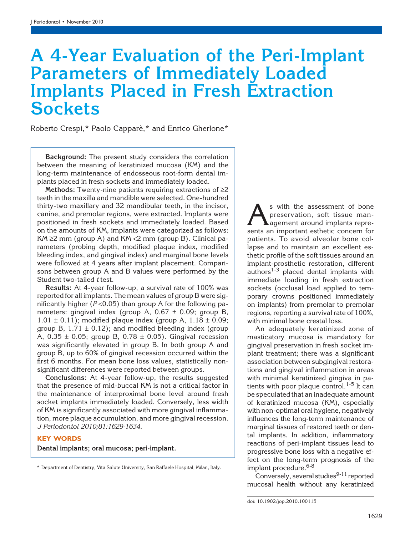# A 4-Year Evaluation of the Peri-Implant Parameters of Immediately Loaded Implants Placed in Fresh Extraction **Sockets**

Roberto Crespi,\* Paolo Capparè,\* and Enrico Gherlone\*

Background: The present study considers the correlation between the meaning of keratinized mucosa (KM) and the long-term maintenance of endosseous root-form dental implants placed in fresh sockets and immediately loaded.

Methods: Twenty-nine patients requiring extractions of  $\geq 2$ teeth in the maxilla and mandible were selected. One-hundred thirty-two maxillary and 32 mandibular teeth, in the incisor, canine, and premolar regions, were extracted. Implants were positioned in fresh sockets and immediately loaded. Based on the amounts of KM, implants were categorized as follows: KM  $\geq$  mm (group A) and KM  $\lt$  2 mm (group B). Clinical parameters (probing depth, modified plaque index, modified bleeding index, and gingival index) and marginal bone levels were followed at 4 years after implant placement. Comparisons between group A and B values were performed by the Student two-tailed t test.

Results: At 4-year follow-up, a survival rate of 100% was reported for all implants. The mean values of group B were significantly higher ( $P < 0.05$ ) than group A for the following parameters: gingival index (group A,  $0.67 \pm 0.09$ ; group B,  $1.01 \pm 0.11$ ; modified plaque index (group A,  $1.18 \pm 0.09$ ; group B,  $1.71 \pm 0.12$ ); and modified bleeding index (group A,  $0.35 \pm 0.05$ ; group B,  $0.78 \pm 0.05$ ). Gingival recession was significantly elevated in group B. In both group A and group B, up to 60% of gingival recession occurred within the first 6 months. For mean bone loss values, statistically nonsignificant differences were reported between groups.

Conclusions: At 4-year follow-up, the results suggested that the presence of mid-buccal KM is not a critical factor in the maintenance of interproximal bone level around fresh socket implants immediately loaded. Conversely, less width of KM is significantly associated with more gingival inflammation, more plaque accumulation, and more gingival recession. J Periodontol 2010;81:1629-1634.

### KEY WORDS

Dental implants; oral mucosa; peri-implant.

\* Department of Dentistry, Vita Salute University, San Raffaele Hospital, Milan, Italy.

s with the assessment of bone<br>preservation, soft tissue man-<br>agement around implants repre-<br>sents an important esthetic concern for preservation, soft tissue management around implants represents an important esthetic concern for patients. To avoid alveolar bone collapse and to maintain an excellent esthetic profile of the soft tissues around an implant-prosthetic restoration, different authors<sup>1-3</sup> placed dental implants with immediate loading in fresh extraction sockets (occlusal load applied to temporary crowns positioned immediately on implants) from premolar to premolar regions, reporting a survival rate of 100%, with minimal bone crestal loss.

An adequately keratinized zone of masticatory mucosa is mandatory for gingival preservation in fresh socket implant treatment; there was a significant association between subgingival restorations and gingival inflammation in areas with minimal keratinized gingiva in patients with poor plaque control.<sup>1-5</sup> It can be speculated that an inadequate amount of keratinized mucosa (KM), especially with non-optimal oral hygiene, negatively influences the long-term maintenance of marginal tissues of restored teeth or dental implants. In addition, inflammatory reactions of peri-implant tissues lead to progressive bone loss with a negative effect on the long-term prognosis of the implant procedure.<sup>6-8</sup>

Conversely, several studies $9-11$  reported mucosal health without any keratinized

doi: 10.1902/jop.2010.100115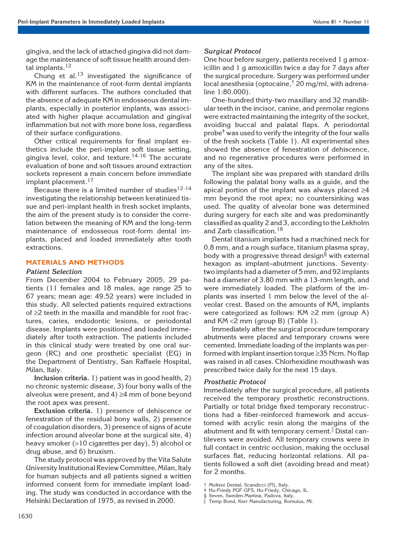gingiva, and the lack of attached gingiva did not damage the maintenance of soft tissue health around dental implants.<sup>12</sup>

Chung et al.<sup>13</sup> investigated the significance of KM in the maintenance of root-form dental implants with different surfaces. The authors concluded that the absence of adequate KM in endosseous dental implants, especially in posterior implants, was associated with higher plaque accumulation and gingival inflammation but not with more bone loss, regardless of their surface configurations.

Other critical requirements for final implant esthetics include the peri-implant soft tissue setting, gingiva level, color, and texture. $14-16$  The accurate evaluation of bone and soft tissues around extraction sockets represent a main concern before immediate implant placement.<sup>17</sup>

Because there is a limited number of studies<sup>12-14</sup> investigating the relationship between keratinized tissue and peri-implant health in fresh socket implants, the aim of the present study is to consider the correlation between the meaning of KM and the long-term maintenance of endosseous root-form dental implants, placed and loaded immediately after tooth extractions.

#### MATERIALS AND METHODS

#### Patient Selection

From December 2004 to February 2005, 29 patients (11 females and 18 males, age range 25 to 67 years; mean age: 49.52 years) were included in this study. All selected patients required extractions of  $\geq$ 2 teeth in the maxilla and mandible for root fractures, caries, endodontic lesions, or periodontal disease. Implants were positioned and loaded immediately after tooth extraction. The patients included in this clinical study were treated by one oral surgeon (RC) and one prosthetic specialist (EG) in the Department of Dentistry, San Raffaele Hospital, Milan, Italy.

Inclusion criteria. 1) patient was in good health, 2) no chronic systemic disease, 3) four bony walls of the alveolus were present, and  $4$ )  $\geq$ 4 mm of bone beyond the root apex was present.

Exclusion criteria. 1) presence of dehiscence or fenestration of the residual bony walls, 2) presence of coagulation disorders, 3) presence of signs of acute infection around alveolar bone at the surgical site, 4) heavy smoker (>10 cigarettes per day), 5) alcohol or drug abuse, and 6) bruxism.

The study protocol was approved by the Vita Salute University Institutional Review Committee, Milan, Italy for human subjects and all patients signed a written informed consent form for immediate implant loading. The study was conducted in accordance with the Helsinki Declaration of 1975, as revised in 2000.

## Surgical Protocol

One hour before surgery, patients received 1 g amoxicillin and 1 g amoxicillin twice a day for 7 days after the surgical procedure. Surgery was performed under local anesthesia (optocaine,† 20 mg/ml, with adrenaline 1:80.000).

One-hundred thirty-two maxillary and 32 mandibular teeth in the incisor, canine, and premolar regions were extracted maintaining the integrity of the socket, avoiding buccal and palatal flaps. A periodontal probe $\dagger$  was used to verify the integrity of the four walls of the fresh sockets (Table 1). All experimental sites showed the absence of fenestration of dehiscence, and no regenerative procedures were performed in any of the sites.

The implant site was prepared with standard drills following the palatal bony walls as a guide, and the apical portion of the implant was always placed  $\geq 4$ mm beyond the root apex; no countersinking was used. The quality of alveolar bone was determined during surgery for each site and was predominantly classified as quality 2 and 3, according to the Lekholm and Zarb classification. $^{18}$ 

Dental titanium implants had a machined neck for 0.8 mm, and a rough surface, titanium plasma spray, body with a progressive thread design§ with external hexagon as implant–abutment junctions. Seventytwo implants had a diameter of 5 mm, and 92 implants had a diameter of 3.80 mm with a 13-mm length, and were immediately loaded. The platform of the implants was inserted 1 mm below the level of the alveolar crest. Based on the amounts of KM, implants were categorized as follows:  $KM \geq 2$  mm (group A) and KM <2 mm (group B) (Table 1).

Immediately after the surgical procedure temporary abutments were placed and temporary crowns were cemented. Immediate loading of the implants was performed with implant insertion torque  $\geq$ 35 Ncm. No flap was raised in all cases. Chlorhexidine mouthwash was prescribed twice daily for the next 15 days.

#### Prosthetic Protocol

Immediately after the surgical procedure, all patients received the temporary prosthetic reconstructions. Partially or total bridge fixed temporary reconstructions had a fiber-reinforced framework and accustomed with acrylic resin along the margins of the abutment and fit with temporary cement.<sup>||</sup> Distal cantilevers were avoided. All temporary crowns were in full contact in centric occlusion, making the occlusal surfaces flat, reducing horizontal relations. All patients followed a soft diet (avoiding bread and meat) for 2 months.

Molteni Dental, Scandicci (FI), Italy.

Hu-Friedy PGF-GFS, Hu-Friedy, Chicago, IL.

<sup>§</sup> Seven, Sweden-Martina, Padova, Italy.<br>|| Temp Bond. Kerr Manufacturing. Rom i Temp Bond, Kerr Manufacturing, Romulus, MI.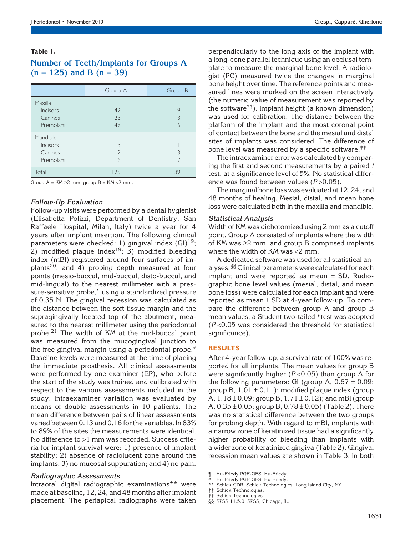#### Table 1.

# Number of Teeth/Implants for Groups A  $(n = 125)$  and B  $(n = 39)$

|                                                    | Group A                  | Group B       |
|----------------------------------------------------|--------------------------|---------------|
| Maxilla<br><b>Incisors</b><br>Canines<br>Premolars | 42<br>23<br>49           | 9<br>3<br>6   |
| Mandible<br>Incisors<br>Canines<br>Premolars       | 3<br>$\overline{2}$<br>6 | l I<br>3<br>7 |
| Total                                              | 125                      | 39            |

Group  $A = KM \geq 2$  mm; group  $B = KM \leq 2$  mm.

#### Follow-Up Evaluation

Follow-up visits were performed by a dental hygienist (Elisabetta Polizzi, Department of Dentistry, San Raffaele Hospital, Milan, Italy) twice a year for 4 years after implant insertion. The following clinical parameters were checked: 1) gingival index  $(GI)^{19}$ ; 2) modified plaque index<sup>19</sup>; 3) modified bleeding index (mBI) registered around four surfaces of implants<sup>20</sup>; and 4) probing depth measured at four points (mesio-buccal, mid-buccal, disto-buccal, and mid-lingual) to the nearest millimeter with a pressure-sensitive probe,<sup>1</sup> using a standardized pressure of 0.35 N. The gingival recession was calculated as the distance between the soft tissue margin and the supragingivally located top of the abutment, measured to the nearest millimeter using the periodontal probe.<sup>21</sup> The width of KM at the mid-buccal point was measured from the mucogingival junction to the free gingival margin using a periodontal probe.<sup>#</sup> Baseline levels were measured at the time of placing the immediate prosthesis. All clinical assessments were performed by one examiner (EP), who before the start of the study was trained and calibrated with respect to the various assessments included in the study. Intraexaminer variation was evaluated by means of double assessments in 10 patients. The mean difference between pairs of linear assessments varied between 0.13 and 0.16 for the variables. In 83% to 89% of the sites the measurements were identical. No difference to >1 mm was recorded. Success criteria for implant survival were: 1) presence of implant stability; 2) absence of radiolucent zone around the implants; 3) no mucosal suppuration; and 4) no pain.

#### Radiographic Assessments

Intraoral digital radiographic examinations\*\* were made at baseline, 12, 24, and 48 months after implant placement. The periapical radiographs were taken

perpendicularly to the long axis of the implant with a long-cone parallel technique using an occlusal template to measure the marginal bone level. A radiologist (PC) measured twice the changes in marginal bone height over time. The reference points and measured lines were marked on the screen interactively (the numeric value of measurement was reported by the software<sup>††</sup>). Implant height (a known dimension) was used for calibration. The distance between the platform of the implant and the most coronal point of contact between the bone and the mesial and distal sites of implants was considered. The difference of bone level was measured by a specific software.‡‡

The intraexaminer error was calculated by comparing the first and second measurements by a paired  $t$ test, at a significance level of 5%. No statistical difference was found between values  $(P > 0.05)$ .

The marginal bone loss was evaluated at 12, 24, and 48 months of healing. Mesial, distal, and mean bone loss were calculated both in the maxilla and mandible.

#### Statistical Analysis

Width of KM was dichotomized using 2 mm as a cutoff point. Group A consisted of implants where the width of KM was  $\geq$ 2 mm, and group B comprised implants where the width of KM was <2 mm.

A dedicated software was used for all statistical analyses.§§ Clinical parameters were calculated for each implant and were reported as mean  $\pm$  SD. Radiographic bone level values (mesial, distal, and mean bone loss) were calculated for each implant and were reported as mean  $\pm$  SD at 4-year follow-up. To compare the difference between group A and group B mean values, a Student two-tailed t test was adopted  $(P<0.05$  was considered the threshold for statistical significance).

#### RESULTS

After 4-year follow-up, a survival rate of 100% was reported for all implants. The mean values for group B were significantly higher ( $P < 0.05$ ) than group A for the following parameters: GI (group A,  $0.67 \pm 0.09$ ; group B,  $1.01 \pm 0.11$ ); modified plaque index (group A,  $1.18 \pm 0.09$ ; group B,  $1.71 \pm 0.12$ ); and mBI (group A,  $0.35 \pm 0.05$ ; group B,  $0.78 \pm 0.05$ ) (Table 2). There was no statistical difference between the two groups for probing depth. With regard to mBI, implants with a narrow zone of keratinized tissue had a significantly higher probability of bleeding than implants with a wider zone of keratinized gingiva (Table 2). Gingival recession mean values are shown in Table 3. In both

<sup>¶</sup> Hu-Friedy PGF-GFS, Hu-Friedy.

<sup>#</sup> Hu-Friedy PGF-GFS, Hu-Friedy.

Schick CDR, Schick Technologies, Long Island City, NY.

Schick Technologies. ‡‡ Schick Technologies

<sup>§§</sup> SPSS 11.5.0, SPSS, Chicago, IL.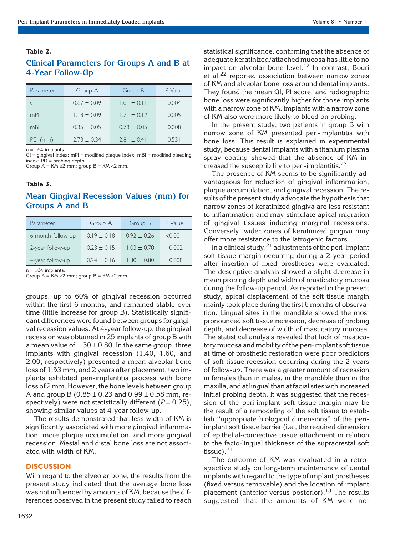#### Table 2.

# Clinical Parameters for Groups A and B at 4-Year Follow-Up

| Parameter | Group A         | Group B         | P Value |
|-----------|-----------------|-----------------|---------|
| GI        | $0.67 \pm 0.09$ | $1.01 \pm 0.11$ | 0.004   |
| mPI       | $1.18 \pm 0.09$ | $1.71 + 0.12$   | 0.005   |
| mBI       | $0.35 \pm 0.05$ | $0.78 \pm 0.05$ | 0.008   |
| $PD$ (mm) | $2.73 + 0.34$   | $2.81 + 0.41$   | 0.531   |

 $n = 164$  implants.

 $GI =$  gingival index;  $mPI =$  modified plaque index;  $mBI =$  modified bleeding index; PD = probing depth. Group  $A = KM \geq 2$  mm; group  $B = KM \leq 2$  mm.

#### Table 3.

# Mean Gingival Recession Values (mm) for Groups A and B

| Parameter         | Group A         | Group B         | P Value |
|-------------------|-----------------|-----------------|---------|
| 6-month follow-up | $0.19 \pm 0.18$ | $0.92 \pm 0.26$ | < 0.001 |
| 2-year follow-up  | $0.23 \pm 0.15$ | $1.03 \pm 0.70$ | 0.002   |
| 4-year follow-up  | $0.24 \pm 0.16$ | $1.30 \pm 0.80$ | 0.008   |

 $n = 164$  implants.

Group  $A = KM \geq 2$  mm; group  $B = KM < 2$  mm.

groups, up to 60% of gingival recession occurred within the first 6 months, and remained stable over time (little increase for group B). Statistically significant differences were found between groups for gingival recession values. At 4-year follow-up, the gingival recession was obtained in 25 implants of group B with a mean value of  $1.30 \pm 0.80$ . In the same group, three implants with gingival recession (1.40, 1.60, and 2.00, respectively) presented a mean alveolar bone loss of 1.53 mm, and 2 years after placement, two implants exhibited peri-implantitis process with bone loss of 2 mm. However, the bone levels between group A and group B (0.85  $\pm$  0.23 and 0.99  $\pm$  0.58 mm, respectively) were not statistically different ( $P = 0.25$ ), showing similar values at 4-year follow-up.

The results demonstrated that less width of KM is significantly associated with more gingival inflammation, more plaque accumulation, and more gingival recession. Mesial and distal bone loss are not associated with width of KM.

#### **DISCUSSION**

With regard to the alveolar bone, the results from the present study indicated that the average bone loss was not influenced by amounts of KM, because the differences observed in the present study failed to reach

1632

statistical significance, confirming that the absence of adequate keratinized/attached mucosa has little to no impact on alveolar bone level.<sup>12</sup> In contrast, Bouri et al.<sup>22</sup> reported association between narrow zones of KM and alveolar bone loss around dental implants. They found the mean GI, PI score, and radiographic bone loss were significantly higher for those implants with a narrow zone of KM. Implants with a narrow zone of KM also were more likely to bleed on probing.

In the present study, two patients in group B with narrow zone of KM presented peri-implantitis with bone loss. This result is explained in experimental study, because dental implants with a titanium plasma spray coating showed that the absence of KM increased the susceptibility to peri-implantitis. $^{23}$ 

The presence of KM seems to be significantly advantageous for reduction of gingival inflammation, plaque accumulation, and gingival recession. The results of the present study advocate the hypothesis that narrow zones of keratinized gingiva are less resistant to inflammation and may stimulate apical migration of gingival tissues inducing marginal recessions. Conversely, wider zones of keratinized gingiva may offer more resistance to the iatrogenic factors.

In a clinical study,  $2<sup>1</sup>$  adjustments of the peri-implant soft tissue margin occurring during a 2-year period after insertion of fixed prostheses were evaluated. The descriptive analysis showed a slight decrease in mean probing depth and width of masticatory mucosa during the follow-up period. As reported in the present study, apical displacement of the soft tissue margin mainly took place during the first 6 months of observation. Lingual sites in the mandible showed the most pronounced soft tissue recession, decrease of probing depth, and decrease of width of masticatory mucosa. The statistical analysis revealed that lack of masticatory mucosa and mobility of the peri-implant soft tissue at time of prosthetic restoration were poor predictors of soft tissue recession occurring during the 2 years of follow-up. There was a greater amount of recession in females than in males, in the mandible than in the maxilla, and at lingual than at facial sites with increased initial probing depth. It was suggested that the recession of the peri-implant soft tissue margin may be the result of a remodeling of the soft tissue to establish ''appropriate biological dimensions'' of the periimplant soft tissue barrier (i.e., the required dimension of epithelial-connective tissue attachment in relation to the facio-lingual thickness of the supracrestal soft tissue). $^{21}$ 

The outcome of KM was evaluated in a retrospective study on long-term maintenance of dental implants with regard to the type of implant prostheses (fixed versus removable) and the location of implant placement (anterior versus posterior).<sup>13</sup> The results suggested that the amounts of KM were not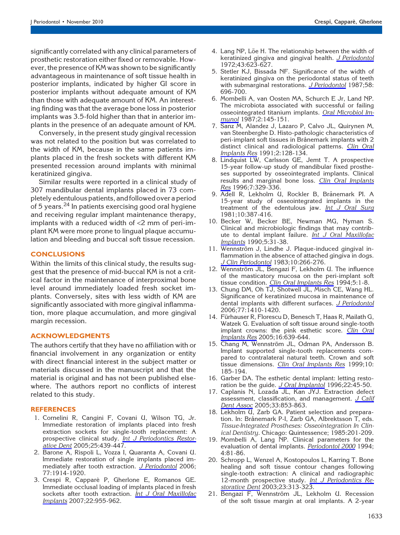significantly correlated with any clinical parameters of prosthetic restoration either fixed or removable. However, the presence of KM was shown to be significantly advantageous in maintenance of soft tissue health in posterior implants, indicated by higher GI score in posterior implants without adequate amount of KM than those with adequate amount of KM. An interesting finding was that the average bone loss in posterior implants was 3.5-fold higher than that in anterior implants in the presence of an adequate amount of KM.

Conversely, in the present study gingival recession was not related to the position but was correlated to the width of KM, because in the same patients implants placed in the fresh sockets with different KM presented recession around implants with minimal keratinized gingiva.

Similar results were reported in a clinical study of 307 mandibular dental implants placed in 73 completely edentulous patients, and followed over a period of 5 years.<sup>24</sup> In patients exercising good oral hygiene and receiving regular implant maintenance therapy, implants with a reduced width of <2 mm of peri-implant KM were more prone to lingual plaque accumulation and bleeding and buccal soft tissue recession.

## **CONCLUSIONS**

Within the limits of this clinical study, the results suggest that the presence of mid-buccal KM is not a critical factor in the maintenance of interproximal bone level around immediately loaded fresh socket implants. Conversely, sites with less width of KM are significantly associated with more gingival inflammation, more plaque accumulation, and more gingival margin recession.

## ACKNOWLEDGMENTS

The authors certify that they have no affiliation with or financial involvement in any organization or entity with direct financial interest in the subject matter or materials discussed in the manuscript and that the material is original and has not been published elsewhere. The authors report no conflicts of interest related to this study.

#### REFERENCES

- 1. Cornelini R, Cangini F, Covani U, Wilson TG, Jr. Immediate restoration of implants placed into fresh extraction sockets for single-tooth replacement: A prospective clinical study. Int J Periodontics Restorative Dent 2005;25:439-447.
- 2. Barone A, Rispoli L, Vozza I, Quaranta A, Covani U. Immediate restoration of single implants placed immediately after tooth extraction. J Periodontol 2006; 77:1914-1920.
- 3. Crespi R, Capparè P, Gherlone E, Romanos GE. Immediate occlusal loading of implants placed in fresh sockets after tooth extraction. Int J Oral Maxillofac Implants 2007;22:955-962.
- 4. Lang NP, Löe H. The relationship between the width of keratinized gingiva and gingival health. J Periodontol 1972;43:623-627.
- 5. Stetler KJ, Bissada NF. Significance of the width of keratinized gingiva on the periodontal status of teeth with submarginal restorations. J Periodontol 1987;58: 696-700.
- 6. Mombelli A, van Oosten MA, Schurch E Jr, Land NP. The microbiota associated with successful or failing osseointegrated titanium implants. Oral Microbiol Immunol 1987;2:145-151.
- 7. Sanz M, Alandez J, Lazaro P, Calvo JL, Quirynen M, van Steenberghe D. Histo-pathologic characteristics of peri-implant soft tissues in Brånemark implants with 2 distinct clinical and radiological patterns. Clin Oral Implants Res 1991;2:128-134.
- 8. Lindquist LW, Carlsson GE, Jemt T. A prospective 15-year follow-up study of mandibular fixed prostheses supported by osseointegrated implants. Clinical results and marginal bone loss. Clin Oral Implants Res 1996;7:329-336.
- 9. Adell R, Lekholm U, Rockler B, Brånemark Pl. A 15-year study of osseointegrated implants in the treatment of the edentulous jaw. Int J Oral Surg 1981;10:387-416.
- 10. Becker W, Becker BE, Newman MG, Nyman S. Clinical and microbiologic findings that may contribute to dental implant failure. Int J Oral Maxillofac Implants 1990;5:31-38.
- 11. Wennström J, Lindhe J. Plaque-induced gingival inflammation in the absence of attached gingiva in dogs. J Clin Periodontol 1983;10:266-276.
- 12. Wennström JL, Bengazi F, Lekholm U. The influence of the masticatory mucosa on the peri-implant soft tissue condition. Clin Oral Implants Res 1994;5:1-8.
- 13. Chung DM, Oh TJ, Shotwell JL, Misch CE, Wang HL. Significance of keratinized mucosa in maintenance of dental implants with different surfaces. J Periodontol 2006;77:1410-1420.
- 14. Fürhauser R, Florescu D, Benesch T, Haas R, Mailath G, Watzek G. Evaluation of soft tissue around single-tooth implant crowns: the pink esthetic score. Clin Oral Implants Res 2005;16:639-644.
- 15. Chang M, Wennström JL, Odman PA, Andersson B. Implant supported single-tooth replacements compared to contralateral natural teeth. Crown and soft tissue dimensions. Clin Oral Implants Res 1999;10: 185-194.
- 16. Garber DA. The esthetic dental implant: letting restoration be the guide. J Oral Implantol 1996;22:45-50.
- 17. Caplanis N, Lozada JL, Kan JYJ. Extraction defect assessment, classification, and management. J Calif Dent Assoc 2005;33:853-863.
- 18. Lekholm U, Zarb GA. Patient selection and preparation. In: Brånemark P-I, Zarb GA, Albrektsson T, eds. Tissue-Integrated Prostheses: Osseointegration In Clinical Dentistry. Chicago: Quintessence; 1985:201-209.
- 19. Mombelli A, Lang NP. Clinical parameters for the evaluation of dental implants. Periodontol 2000 1994; 4:81-86.
- 20. Schropp L, Wenzel A, Kostopoulos L, Karring T. Bone healing and soft tissue contour changes following single-tooth extraction: A clinical and radiographic 12-month prospective study. Int J Periodontics Restorative Dent 2003;23:313-323.
- 21. Bengazi F, Wennström JL, Lekholm U. Recession of the soft tissue margin at oral implants. A 2-year